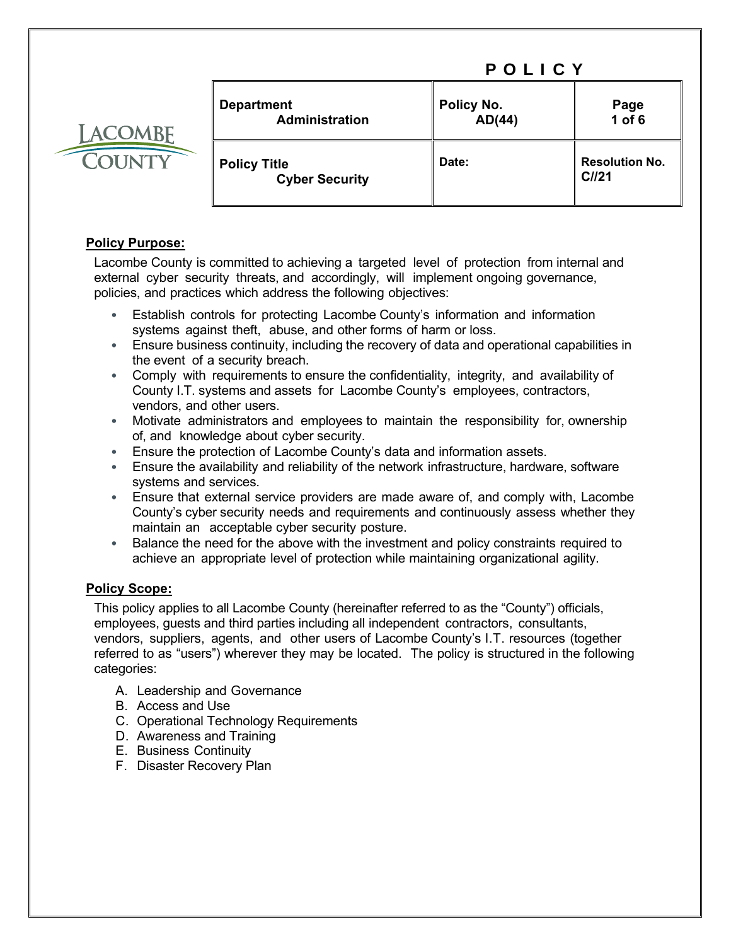| <b>LACOMBE</b> |  |
|----------------|--|
| COUNTY         |  |

| <b>Department</b><br><b>Administration</b>   | Policy No.<br>AD(44) | Page<br>1 of 6                 |
|----------------------------------------------|----------------------|--------------------------------|
| <b>Policy Title</b><br><b>Cyber Security</b> | Date:                | <b>Resolution No.</b><br>CII21 |

# **Policy Purpose:**

Lacombe County is committed to achieving a targeted level of protection from internal and external cyber security threats, and accordingly, will implement ongoing governance, policies, and practices which address the following objectives:

- Establish controls for protecting Lacombe County's information and information systems against theft, abuse, and other forms of harm or loss.
- Ensure business continuity, including the recovery of data and operational capabilities in the event of a security breach.
- Comply with requirements to ensure the confidentiality, integrity, and availability of County I.T. systems and assets for Lacombe County's employees, contractors, vendors, and other users.
- Motivate administrators and employees to maintain the responsibility for, ownership of, and knowledge about cyber security.
- Ensure the protection of Lacombe County's data and information assets.
- Ensure the availability and reliability of the network infrastructure, hardware, software systems and services.
- Ensure that external service providers are made aware of, and comply with, Lacombe County's cyber security needs and requirements and continuously assess whether they maintain an acceptable cyber security posture.
- Balance the need for the above with the investment and policy constraints required to achieve an appropriate level of protection while maintaining organizational agility.

# **Policy Scope:**

This policy applies to all Lacombe County (hereinafter referred to as the "County") officials, employees, guests and third parties including all independent contractors, consultants, vendors, suppliers, agents, and other users of Lacombe County's I.T. resources (together referred to as "users") wherever they may be located. The policy is structured in the following categories:

- A. Leadership and Governance
- B. Access and Use
- C. Operational Technology Requirements
- D. Awareness and Training
- E. Business Continuity
- F. Disaster Recovery Plan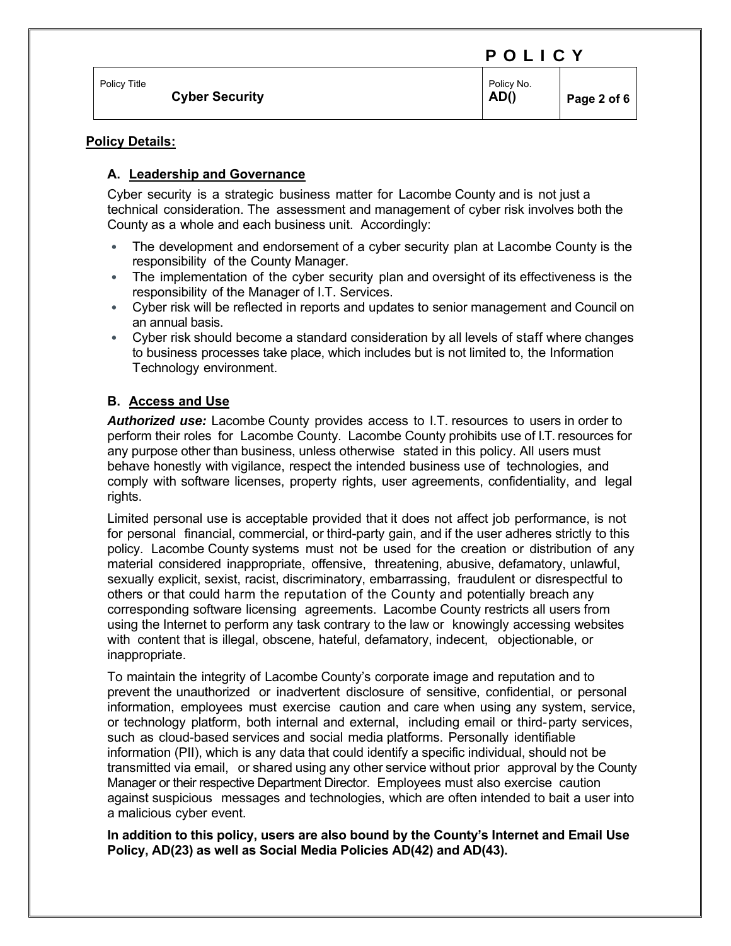|  |  |  |  |  | POLICY |  |  |
|--|--|--|--|--|--------|--|--|
|--|--|--|--|--|--------|--|--|

of 6

| Policv Title          | Policy No. |        |
|-----------------------|------------|--------|
| <b>Cyber Security</b> | AD()       | Page 2 |

# **Policy Details:**

# **A. Leadership and Governance**

Cyber security is a strategic business matter for Lacombe County and is not just a technical consideration. The assessment and management of cyber risk involves both the County as a whole and each business unit. Accordingly:

- The development and endorsement of a cyber security plan at Lacombe County is the responsibility of the County Manager.
- The implementation of the cyber security plan and oversight of its effectiveness is the responsibility of the Manager of I.T. Services.
- Cyber risk will be reflected in reports and updates to senior management and Council on an annual basis.
- Cyber risk should become a standard consideration by all levels of staff where changes to business processes take place, which includes but is not limited to, the Information Technology environment.

# **B. Access and Use**

*Authorized use:* Lacombe County provides access to I.T. resources to users in order to perform their roles for Lacombe County. Lacombe County prohibits use of I.T. resources for any purpose other than business, unless otherwise stated in this policy. All users must behave honestly with vigilance, respect the intended business use of technologies, and comply with software licenses, property rights, user agreements, confidentiality, and legal rights.

Limited personal use is acceptable provided that it does not affect job performance, is not for personal financial, commercial, or third-party gain, and if the user adheres strictly to this policy. Lacombe County systems must not be used for the creation or distribution of any material considered inappropriate, offensive, threatening, abusive, defamatory, unlawful, sexually explicit, sexist, racist, discriminatory, embarrassing, fraudulent or disrespectful to others or that could harm the reputation of the County and potentially breach any corresponding software licensing agreements. Lacombe County restricts all users from using the Internet to perform any task contrary to the law or knowingly accessing websites with content that is illegal, obscene, hateful, defamatory, indecent, objectionable, or inappropriate.

To maintain the integrity of Lacombe County's corporate image and reputation and to prevent the unauthorized or inadvertent disclosure of sensitive, confidential, or personal information, employees must exercise caution and care when using any system, service, or technology platform, both internal and external, including email or third-party services, such as cloud-based services and social media platforms. Personally identifiable information (PII), which is any data that could identify a specific individual, should not be transmitted via email, or shared using any other service without prior approval by the County Manager or their respective Department Director. Employees must also exercise caution against suspicious messages and technologies, which are often intended to bait a user into a malicious cyber event.

### **In addition to this policy, users are also bound by the County's Internet and Email Use Policy, AD(23) as well as Social Media Policies AD(42) and AD(43).**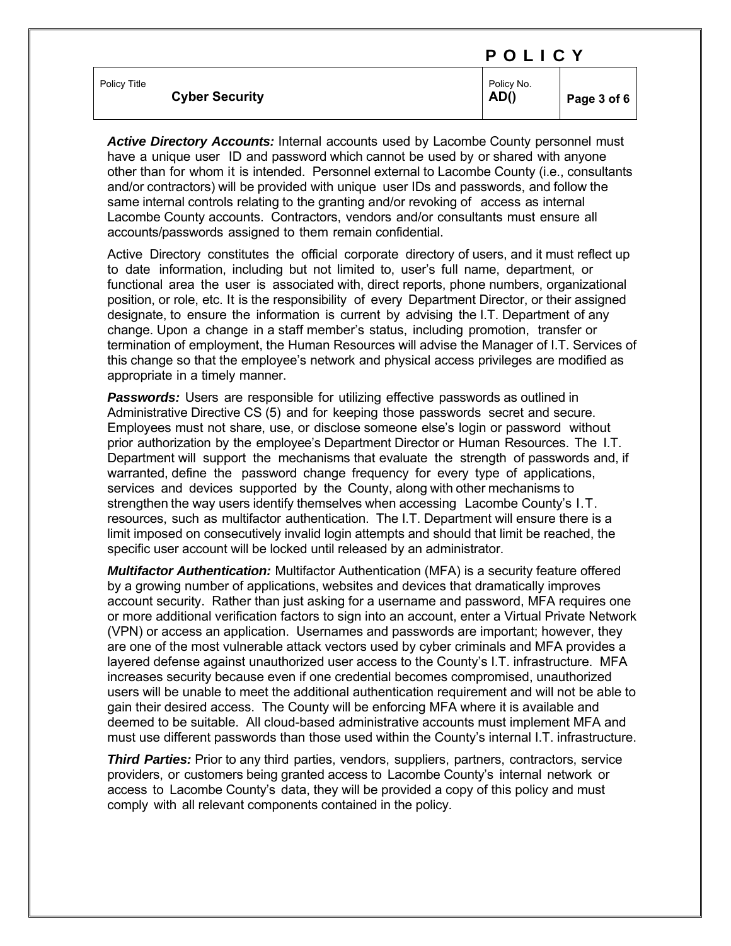|                                       | ------             |             |
|---------------------------------------|--------------------|-------------|
| Policy Title<br><b>Cyber Security</b> | Policy No.<br>AD() | Page 3 of 6 |

*Active Directory Accounts:* Internal accounts used by Lacombe County personnel must have a unique user ID and password which cannot be used by or shared with anyone other than for whom it is intended. Personnel external to Lacombe County (i.e., consultants and/or contractors) will be provided with unique user IDs and passwords, and follow the same internal controls relating to the granting and/or revoking of access as internal Lacombe County accounts. Contractors, vendors and/or consultants must ensure all accounts/passwords assigned to them remain confidential.

Active Directory constitutes the official corporate directory of users, and it must reflect up to date information, including but not limited to, user's full name, department, or functional area the user is associated with, direct reports, phone numbers, organizational position, or role, etc. It is the responsibility of every Department Director, or their assigned designate, to ensure the information is current by advising the I.T. Department of any change. Upon a change in a staff member's status, including promotion, transfer or termination of employment, the Human Resources will advise the Manager of I.T. Services of this change so that the employee's network and physical access privileges are modified as appropriate in a timely manner.

**Passwords:** Users are responsible for utilizing effective passwords as outlined in Administrative Directive CS (5) and for keeping those passwords secret and secure. Employees must not share, use, or disclose someone else's login or password without prior authorization by the employee's Department Director or Human Resources. The I.T. Department will support the mechanisms that evaluate the strength of passwords and, if warranted, define the password change frequency for every type of applications, services and devices supported by the County, along with other mechanisms to strengthen the way users identify themselves when accessing Lacombe County's I.T. resources, such as multifactor authentication. The I.T. Department will ensure there is a limit imposed on consecutively invalid login attempts and should that limit be reached, the specific user account will be locked until released by an administrator.

*Multifactor Authentication:* Multifactor Authentication (MFA) is a security feature offered by a growing number of applications, websites and devices that dramatically improves account security. Rather than just asking for a username and password, MFA requires one or more additional verification factors to sign into an account, enter a Virtual Private Network (VPN) or access an application. Usernames and passwords are important; however, they are one of the most vulnerable attack vectors used by cyber criminals and MFA provides a layered defense against unauthorized user access to the County's I.T. infrastructure. MFA increases security because even if one credential becomes compromised, unauthorized users will be unable to meet the additional authentication requirement and will not be able to gain their desired access. The County will be enforcing MFA where it is available and deemed to be suitable. All cloud-based administrative accounts must implement MFA and must use different passwords than those used within the County's internal I.T. infrastructure.

*Third Parties:* Prior to any third parties, vendors, suppliers, partners, contractors, service providers, or customers being granted access to Lacombe County's internal network or access to Lacombe County's data, they will be provided a copy of this policy and must comply with all relevant components contained in the policy.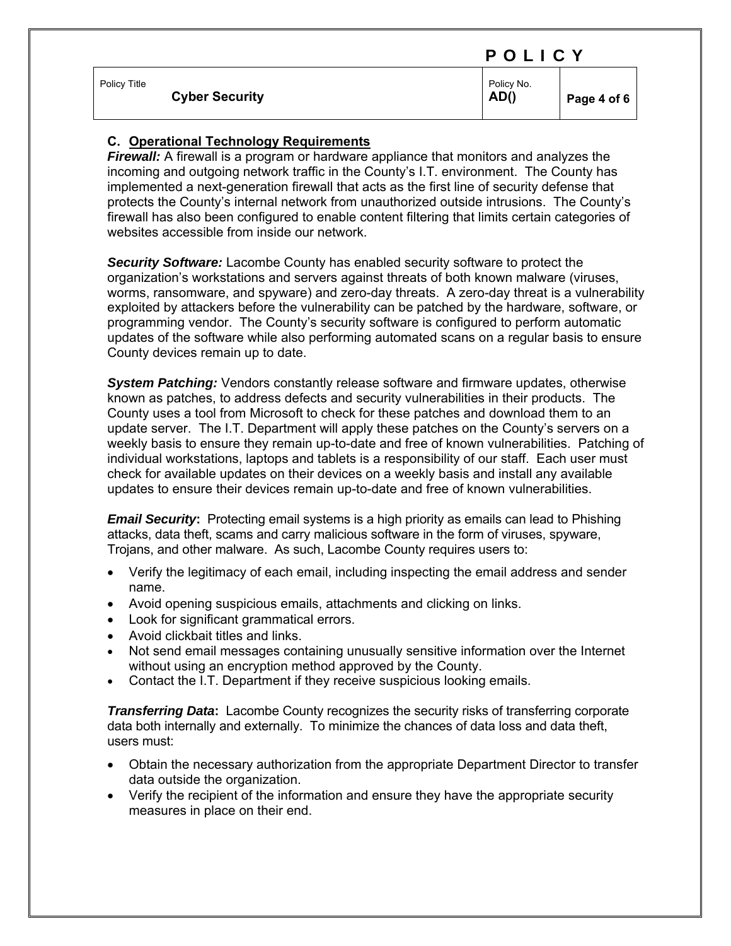|              |                       |                    | .           |  |
|--------------|-----------------------|--------------------|-------------|--|
| Policy Title | <b>Cyber Security</b> | Policy No.<br>AD() | Page 4 of 6 |  |
|              |                       |                    |             |  |

### **C. Operational Technology Requirements**

*Firewall:* A firewall is a program or hardware appliance that monitors and analyzes the incoming and outgoing network traffic in the County's I.T. environment. The County has implemented a next-generation firewall that acts as the first line of security defense that protects the County's internal network from unauthorized outside intrusions. The County's firewall has also been configured to enable content filtering that limits certain categories of websites accessible from inside our network.

*Security Software:* Lacombe County has enabled security software to protect the organization's workstations and servers against threats of both known malware (viruses, worms, ransomware, and spyware) and zero-day threats. A zero-day threat is a vulnerability exploited by attackers before the vulnerability can be patched by the hardware, software, or programming vendor. The County's security software is configured to perform automatic updates of the software while also performing automated scans on a regular basis to ensure County devices remain up to date.

*System Patching:* Vendors constantly release software and firmware updates, otherwise known as patches, to address defects and security vulnerabilities in their products. The County uses a tool from Microsoft to check for these patches and download them to an update server. The I.T. Department will apply these patches on the County's servers on a weekly basis to ensure they remain up-to-date and free of known vulnerabilities. Patching of individual workstations, laptops and tablets is a responsibility of our staff. Each user must check for available updates on their devices on a weekly basis and install any available updates to ensure their devices remain up-to-date and free of known vulnerabilities.

*Email Security*: Protecting email systems is a high priority as emails can lead to Phishing attacks, data theft, scams and carry malicious software in the form of viruses, spyware, Trojans, and other malware. As such, Lacombe County requires users to:

- Verify the legitimacy of each email, including inspecting the email address and sender name.
- Avoid opening suspicious emails, attachments and clicking on links.
- Look for significant grammatical errors.
- Avoid clickbait titles and links.
- Not send email messages containing unusually sensitive information over the Internet without using an encryption method approved by the County.
- Contact the I.T. Department if they receive suspicious looking emails.

*Transferring Data***:** Lacombe County recognizes the security risks of transferring corporate data both internally and externally. To minimize the chances of data loss and data theft, users must:

- Obtain the necessary authorization from the appropriate Department Director to transfer data outside the organization.
- Verify the recipient of the information and ensure they have the appropriate security measures in place on their end.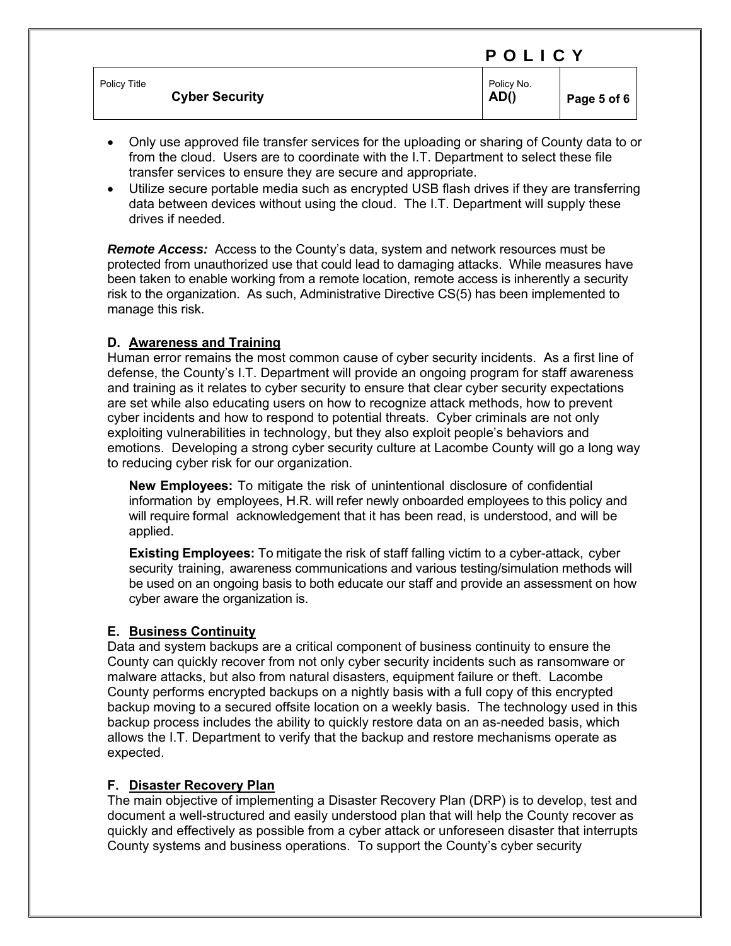|                                       | .                  |             |
|---------------------------------------|--------------------|-------------|
| Policy Title<br><b>Cyber Security</b> | Policy No.<br>AD() | Page 5 of 6 |

- Only use approved file transfer services for the uploading or sharing of County data to or from the cloud. Users are to coordinate with the I.T. Department to select these file transfer services to ensure they are secure and appropriate.
- Utilize secure portable media such as encrypted USB flash drives if they are transferring data between devices without using the cloud. The I.T. Department will supply these drives if needed.

**Remote Access:** Access to the County's data, system and network resources must be protected from unauthorized use that could lead to damaging attacks. While measures have been taken to enable working from a remote location, remote access is inherently a security risk to the organization. As such, Administrative Directive CS(5) has been implemented to manage this risk.

### **D. Awareness and Training**

Human error remains the most common cause of cyber security incidents. As a first line of defense, the County's I.T. Department will provide an ongoing program for staff awareness and training as it relates to cyber security to ensure that clear cyber security expectations are set while also educating users on how to recognize attack methods, how to prevent cyber incidents and how to respond to potential threats. Cyber criminals are not only exploiting vulnerabilities in technology, but they also exploit people's behaviors and emotions. Developing a strong cyber security culture at Lacombe County will go a long way to reducing cyber risk for our organization.

**New Employees:** To mitigate the risk of unintentional disclosure of confidential information by employees, H.R. will refer newly onboarded employees to this policy and will require formal acknowledgement that it has been read, is understood, and will be applied.

**Existing Employees:** To mitigate the risk of staff falling victim to a cyber-attack, cyber security training, awareness communications and various testing/simulation methods will be used on an ongoing basis to both educate our staff and provide an assessment on how cyber aware the organization is.

### **E. Business Continuity**

Data and system backups are a critical component of business continuity to ensure the County can quickly recover from not only cyber security incidents such as ransomware or malware attacks, but also from natural disasters, equipment failure or theft. Lacombe County performs encrypted backups on a nightly basis with a full copy of this encrypted backup moving to a secured offsite location on a weekly basis. The technology used in this backup process includes the ability to quickly restore data on an as-needed basis, which allows the I.T. Department to verify that the backup and restore mechanisms operate as expected.

### **F. Disaster Recovery Plan**

The main objective of implementing a Disaster Recovery Plan (DRP) is to develop, test and document a well-structured and easily understood plan that will help the County recover as quickly and effectively as possible from a cyber attack or unforeseen disaster that interrupts County systems and business operations. To support the County's cyber security